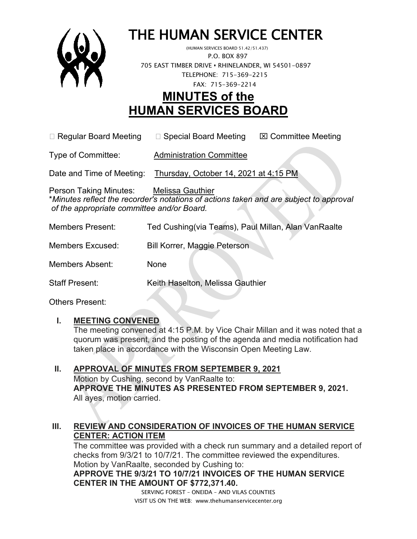

# THE HUMAN SERVICE CENTER (HUMAN SERVICES BOARD 51.42/51.437)

 P.O. BOX 897 705 EAST TIMBER DRIVE **•** RHINELANDER, WI 54501-0897 TELEPHONE: 715-369-2215 FAX: 715-369-2214

# **MINUTES of the HUMAN SERVICES BOARD**

 $\Box$  Regular Board Meeting  $\Box$  Special Board Meeting  $\Box$  Committee Meeting

Type of Committee: Administration Committee

Date and Time of Meeting: Thursday, October 14, 2021 at 4:15 PM

Person Taking Minutes: Melissa Gauthier \**Minutes reflect the recorder's notations of actions taken and are subject to approval of the appropriate committee and/or Board.*

| <b>Members Present:</b> | Ted Cushing(via Teams), Paul Millan, Alan VanRaalte |
|-------------------------|-----------------------------------------------------|
| <b>Members Excused:</b> | Bill Korrer, Maggie Peterson                        |
| Members Absent:         | None                                                |
| <b>Staff Present:</b>   | Keith Haselton, Melissa Gauthier                    |

Others Present:

### **I. MEETING CONVENED**

The meeting convened at 4:15 P.M. by Vice Chair Millan and it was noted that a quorum was present, and the posting of the agenda and media notification had taken place in accordance with the Wisconsin Open Meeting Law.

**II. APPROVAL OF MINUTES FROM SEPTEMBER 9, 2021** Motion by Cushing, second by VanRaalte to: **APPROVE THE MINUTES AS PRESENTED FROM SEPTEMBER 9, 2021.**  All ayes, motion carried.

# **III. REVIEW AND CONSIDERATION OF INVOICES OF THE HUMAN SERVICE CENTER: ACTION ITEM**

The committee was provided with a check run summary and a detailed report of checks from 9/3/21 to 10/7/21. The committee reviewed the expenditures. Motion by VanRaalte, seconded by Cushing to: **APPROVE THE 9/3/21 TO 10/7/21 INVOICES OF THE HUMAN SERVICE CENTER IN THE AMOUNT OF \$772,371.40.**

> SERVING FOREST – ONEIDA – AND VILAS COUNTIES VISIT US ON THE WEB: www.thehumanservicecenter.org